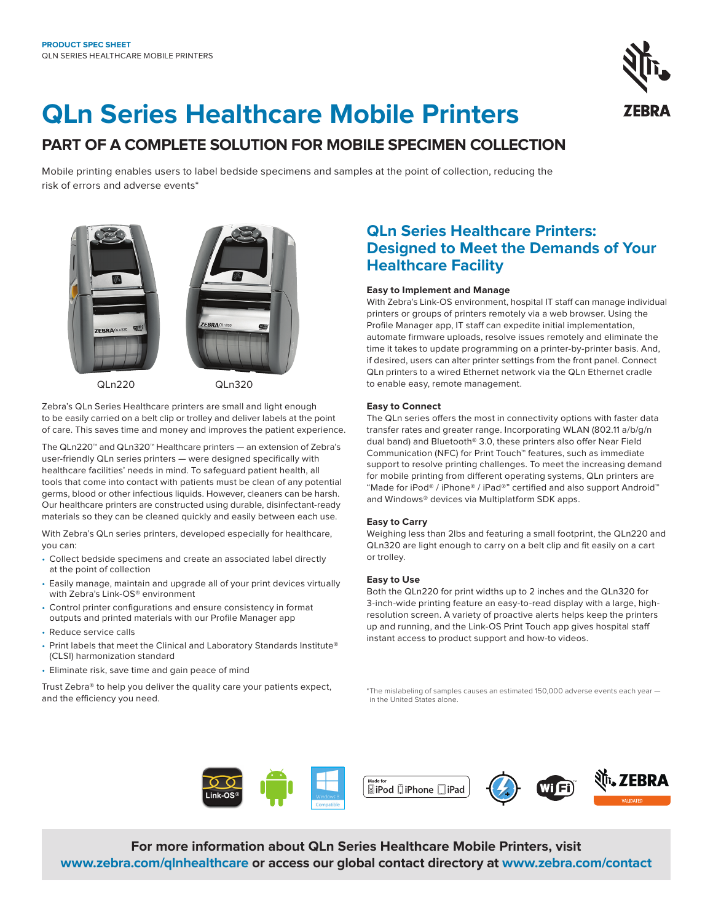

# **QLn Series Healthcare Mobile Printers**

# **PART OF A COMPLETE SOLUTION FOR MOBILE SPECIMEN COLLECTION**

Mobile printing enables users to label bedside specimens and samples at the point of collection, reducing the risk of errors and adverse events\*



QLn220 QLn320

Zebra's QLn Series Healthcare printers are small and light enough to be easily carried on a belt clip or trolley and deliver labels at the point of care. This saves time and money and improves the patient experience.

The QLn220™ and QLn320™ Healthcare printers — an extension of Zebra's user-friendly QLn series printers — were designed specifically with healthcare facilities' needs in mind. To safeguard patient health, all tools that come into contact with patients must be clean of any potential germs, blood or other infectious liquids. However, cleaners can be harsh. Our healthcare printers are constructed using durable, disinfectant-ready materials so they can be cleaned quickly and easily between each use.

With Zebra's QLn series printers, developed especially for healthcare, you can:

- Collect bedside specimens and create an associated label directly at the point of collection
- Easily manage, maintain and upgrade all of your print devices virtually with Zebra's Link-OS® environment
- Control printer configurations and ensure consistency in format outputs and printed materials with our Profile Manager app
- Reduce service calls
- Print labels that meet the Clinical and Laboratory Standards Institute® (CLSI) harmonization standard
- Eliminate risk, save time and gain peace of mind

Trust Zebra® to help you deliver the quality care your patients expect, and the efficiency you need.

# **QLn Series Healthcare Printers: Designed to Meet the Demands of Your Healthcare Facility**

# **Easy to Implement and Manage**

With Zebra's Link-OS environment, hospital IT staff can manage individual printers or groups of printers remotely via a web browser. Using the Profile Manager app, IT staff can expedite initial implementation, automate firmware uploads, resolve issues remotely and eliminate the time it takes to update programming on a printer-by-printer basis. And, if desired, users can alter printer settings from the front panel. Connect QLn printers to a wired Ethernet network via the QLn Ethernet cradle to enable easy, remote management.

# **Easy to Connect**

The QLn series offers the most in connectivity options with faster data transfer rates and greater range. Incorporating WLAN (802.11 a/b/g/n dual band) and Bluetooth® 3.0, these printers also offer Near Field Communication (NFC) for Print Touch™ features, such as immediate support to resolve printing challenges. To meet the increasing demand for mobile printing from different operating systems, QLn printers are "Made for iPod® / iPhone® / iPad®" certified and also support Android™ and Windows® devices via Multiplatform SDK apps.

# **Easy to Carry**

Weighing less than 2lbs and featuring a small footprint, the QLn220 and QLn320 are light enough to carry on a belt clip and fit easily on a cart or trolley.

# **Easy to Use**

Both the QLn220 for print widths up to 2 inches and the QLn320 for 3-inch-wide printing feature an easy-to-read display with a large, highresolution screen. A variety of proactive alerts helps keep the printers up and running, and the Link-OS Print Touch app gives hospital staff instant access to product support and how-to videos.

\*The mislabeling of samples causes an estimated 150,000 adverse events each year in the United States alone.



**For more information about QLn Series Healthcare Mobile Printers, visit [www.zebra.com/qlnhealthcare](https://www.zebra.com/us/en/products/printers/mobile/qln-series-hc.html) or access our global contact directory at [www.zebra.com/contact](https://www.zebra.com/us/en/about-zebra/contact-us/contact-zebra.html)**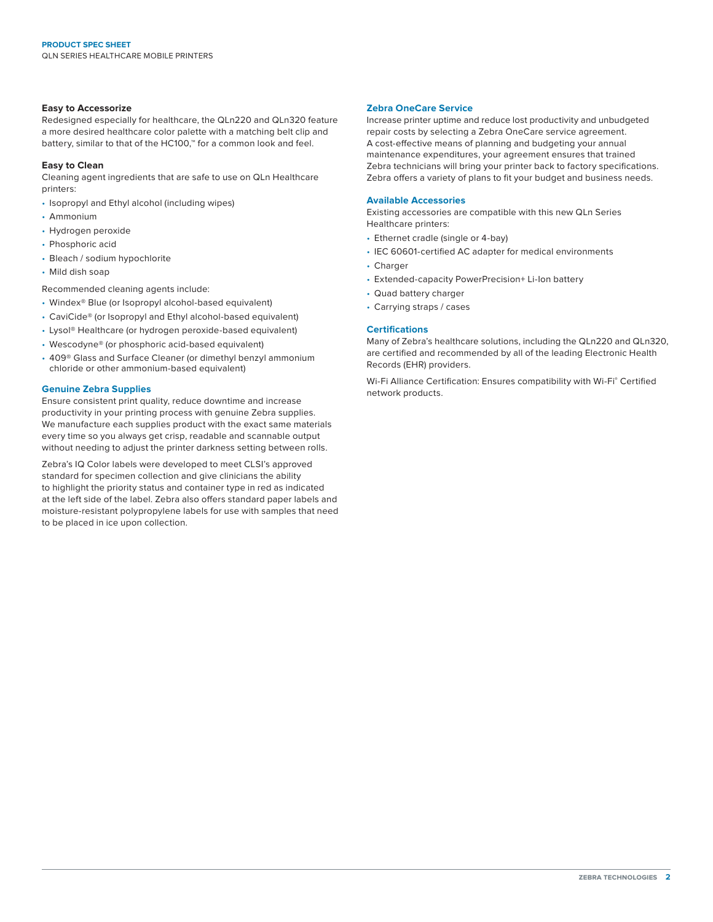# **Easy to Accessorize**

Redesigned especially for healthcare, the QLn220 and QLn320 feature a more desired healthcare color palette with a matching belt clip and battery, similar to that of the HC100,™ for a common look and feel.

# **Easy to Clean**

Cleaning agent ingredients that are safe to use on QLn Healthcare printers:

- Isopropyl and Ethyl alcohol (including wipes)
- Ammonium
- Hydrogen peroxide
- Phosphoric acid
- Bleach / sodium hypochlorite
- Mild dish soap

Recommended cleaning agents include:

- Windex® Blue (or Isopropyl alcohol-based equivalent)
- CaviCide® (or Isopropyl and Ethyl alcohol-based equivalent)
- Lysol® Healthcare (or hydrogen peroxide-based equivalent)
- Wescodyne® (or phosphoric acid-based equivalent)
- 409® Glass and Surface Cleaner (or dimethyl benzyl ammonium chloride or other ammonium-based equivalent)

# **Genuine Zebra Supplies**

Ensure consistent print quality, reduce downtime and increase productivity in your printing process with genuine Zebra supplies. We manufacture each supplies product with the exact same materials every time so you always get crisp, readable and scannable output without needing to adjust the printer darkness setting between rolls.

Zebra's IQ Color labels were developed to meet CLSI's approved standard for specimen collection and give clinicians the ability to highlight the priority status and container type in red as indicated at the left side of the label. Zebra also offers standard paper labels and moisture-resistant polypropylene labels for use with samples that need to be placed in ice upon collection.

# **Zebra OneCare Service**

Increase printer uptime and reduce lost productivity and unbudgeted repair costs by selecting a Zebra OneCare service agreement. A cost-effective means of planning and budgeting your annual maintenance expenditures, your agreement ensures that trained Zebra technicians will bring your printer back to factory specifications. Zebra offers a variety of plans to fit your budget and business needs.

## **Available Accessories**

Existing accessories are compatible with this new QLn Series Healthcare printers:

- Ethernet cradle (single or 4-bay)
- IEC 60601-certified AC adapter for medical environments
- Charger
- Extended-capacity PowerPrecision+ Li-Ion battery
- Quad battery charger
- Carrying straps / cases

# **Certifications**

Many of Zebra's healthcare solutions, including the QLn220 and QLn320, are certified and recommended by all of the leading Electronic Health Records (EHR) providers.

Wi-Fi Alliance Certification: Ensures compatibility with Wi-Fi® Certified network products.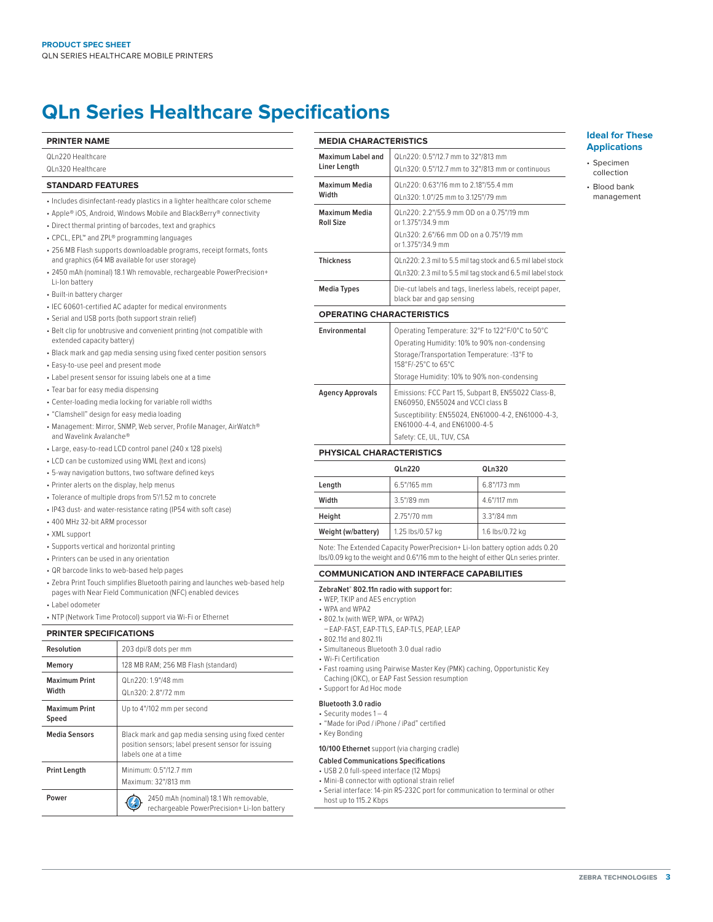# **QLn Series Healthcare Specifications**

| <b>PRINTER NAME</b>                                                                                                                                                                                                                                                                                                                                                                                                                                                                                                                   |                                                                                                                                                                                                                                                        | <b>MEDIA CHARACTERISTICS</b>                                                                                                       |                                                                                                                       |
|---------------------------------------------------------------------------------------------------------------------------------------------------------------------------------------------------------------------------------------------------------------------------------------------------------------------------------------------------------------------------------------------------------------------------------------------------------------------------------------------------------------------------------------|--------------------------------------------------------------------------------------------------------------------------------------------------------------------------------------------------------------------------------------------------------|------------------------------------------------------------------------------------------------------------------------------------|-----------------------------------------------------------------------------------------------------------------------|
| QLn220 Healthcare<br>QLn320 Healthcare                                                                                                                                                                                                                                                                                                                                                                                                                                                                                                |                                                                                                                                                                                                                                                        | <b>Maximum Label and</b><br>Liner Length                                                                                           | QLn220: 0.5"/12.7 mm<br>QLn320: 0.5"/12.7 mm                                                                          |
| <b>STANDARD FEATURES</b>                                                                                                                                                                                                                                                                                                                                                                                                                                                                                                              |                                                                                                                                                                                                                                                        | <b>Maximum Media</b>                                                                                                               | QLn220: 0.63"/16 mm                                                                                                   |
| • Includes disinfectant-ready plastics in a lighter healthcare color scheme                                                                                                                                                                                                                                                                                                                                                                                                                                                           |                                                                                                                                                                                                                                                        | Width                                                                                                                              | QLn320: 1.0"/25 mm t                                                                                                  |
|                                                                                                                                                                                                                                                                                                                                                                                                                                                                                                                                       | • Apple® iOS, Android, Windows Mobile and BlackBerry® connectivity<br>• Direct thermal printing of barcodes, text and graphics<br>• CPCL, EPL™ and ZPL® programming languages<br>• 256 MB Flash supports downloadable programs, receipt formats, fonts | <b>Maximum Media</b><br><b>Roll Size</b>                                                                                           | QLn220: 2.2"/55.9 mr<br>or 1.375"/34.9 mm<br>QLn320: 2.6"/66 mm<br>or 1.375"/34.9 mm                                  |
|                                                                                                                                                                                                                                                                                                                                                                                                                                                                                                                                       | and graphics (64 MB available for user storage)<br>• 2450 mAh (nominal) 18.1 Wh removable, rechargeable PowerPrecision+                                                                                                                                | <b>Thickness</b>                                                                                                                   | QLn220: 2.3 mil to 5.5<br>QLn320: 2.3 mil to 5.5                                                                      |
| Li-lon battery<br>• Built-in battery charger                                                                                                                                                                                                                                                                                                                                                                                                                                                                                          |                                                                                                                                                                                                                                                        | <b>Media Types</b>                                                                                                                 | Die-cut labels and tac<br>black bar and gap ser                                                                       |
| • IEC 60601-certified AC adapter for medical environments<br>· Serial and USB ports (both support strain relief)                                                                                                                                                                                                                                                                                                                                                                                                                      |                                                                                                                                                                                                                                                        | <b>OPERATING CHARACTERISTICS</b>                                                                                                   |                                                                                                                       |
| • Belt clip for unobtrusive and convenient printing (not compatible with<br>extended capacity battery)<br>• Black mark and gap media sensing using fixed center position sensors<br>• Easy-to-use peel and present mode<br>• Label present sensor for issuing labels one at a time<br>• Tear bar for easy media dispensing<br>• Center-loading media locking for variable roll widths<br>· "Clamshell" design for easy media loading<br>• Management: Mirror, SNMP, Web server, Profile Manager, AirWatch®<br>and Wavelink Avalanche® |                                                                                                                                                                                                                                                        | Environmental                                                                                                                      | Operating Temperatu<br>Operating Humidity: 1<br>Storage/Transportatio<br>158°F/-25°C to 65°C<br>Storage Humidity: 109 |
|                                                                                                                                                                                                                                                                                                                                                                                                                                                                                                                                       |                                                                                                                                                                                                                                                        | <b>Agency Approvals</b>                                                                                                            | Emissions: FCC Part 1<br>EN60950, EN55024 a<br>Susceptibility: EN550<br>EN61000-4-4, and EN<br>Safety: CE, UL, TUV, C |
|                                                                                                                                                                                                                                                                                                                                                                                                                                                                                                                                       | • Large, easy-to-read LCD control panel (240 x 128 pixels)                                                                                                                                                                                             | PHYSICAL CHARACTERISTICS                                                                                                           |                                                                                                                       |
|                                                                                                                                                                                                                                                                                                                                                                                                                                                                                                                                       | • LCD can be customized using WML (text and icons)<br>• 5-way navigation buttons, two software defined keys                                                                                                                                            |                                                                                                                                    | QLn220                                                                                                                |
| • Printer alerts on the display, help menus                                                                                                                                                                                                                                                                                                                                                                                                                                                                                           |                                                                                                                                                                                                                                                        | Length                                                                                                                             | 6.5"/165 mm                                                                                                           |
|                                                                                                                                                                                                                                                                                                                                                                                                                                                                                                                                       | • Tolerance of multiple drops from 5'/1.52 m to concrete                                                                                                                                                                                               | Width                                                                                                                              | 3.5"/89 mm                                                                                                            |
|                                                                                                                                                                                                                                                                                                                                                                                                                                                                                                                                       | · IP43 dust- and water-resistance rating (IP54 with soft case)                                                                                                                                                                                         | Height                                                                                                                             | 2.75"/70 mm                                                                                                           |
| + 400 MHz 32-bit ARM processor                                                                                                                                                                                                                                                                                                                                                                                                                                                                                                        |                                                                                                                                                                                                                                                        | Weight (w/battery)                                                                                                                 | 1.25 lbs/0.57 kg                                                                                                      |
| • XML support<br>• Supports vertical and horizontal printing<br>• Printers can be used in any orientation                                                                                                                                                                                                                                                                                                                                                                                                                             |                                                                                                                                                                                                                                                        | Note: The Extended Capacity PowerPrecision+<br>lbs/0.09 kg to the weight and 0.6"/16 mm to the                                     |                                                                                                                       |
| • QR barcode links to web-based help pages                                                                                                                                                                                                                                                                                                                                                                                                                                                                                            |                                                                                                                                                                                                                                                        | <b>COMMUNICATION AND INTERFAC</b>                                                                                                  |                                                                                                                       |
| • Zebra Print Touch simplifies Bluetooth pairing and launches web-based help<br>pages with Near Field Communication (NFC) enabled devices<br>• Label odometer<br>• NTP (Network Time Protocol) support via Wi-Fi or Ethernet                                                                                                                                                                                                                                                                                                          |                                                                                                                                                                                                                                                        | ZebraNet® 802.11n radio with support for:<br>• WEP, TKIP and AES encryption<br>• WPA and WPA2<br>• 802.1x (with WEP, WPA, or WPA2) |                                                                                                                       |
| <b>PRINTER SPECIFICATIONS</b>                                                                                                                                                                                                                                                                                                                                                                                                                                                                                                         |                                                                                                                                                                                                                                                        | • 802.11d and 802.11i                                                                                                              | -EAP-FAST, EAP-TTLS, EAP-TLS, PEAP, LEAP                                                                              |
| <b>Resolution</b>                                                                                                                                                                                                                                                                                                                                                                                                                                                                                                                     | 203 dpi/8 dots per mm                                                                                                                                                                                                                                  | · Simultaneous Bluetooth 3.0 dual radio<br>• Wi-Fi Certification<br>• Fast roaming using Pairwise Master Key (PMI                  |                                                                                                                       |
| Memory                                                                                                                                                                                                                                                                                                                                                                                                                                                                                                                                | 128 MB RAM; 256 MB Flash (standard)                                                                                                                                                                                                                    |                                                                                                                                    |                                                                                                                       |

# **Maximum Print Width** QLn220: 1.9"/48 mm QLn320: 2.8"/72 mm **Maximum Print Speed** Up to 4"/102 mm per second **Media Sensors** | Black mark and gap media sensing using fixed center position sensors; label present sensor for issuing labels one at a time **Print Length** Minimum: 0.5"/12.7 mm Maximum: 32"/813 mm **Power** 2450 mAh (nominal) 18.1 Wh removable, 2450 mAh (nominal) 18.1 Wh removable, rechargeable PowerPrecision+ Li-Ion battery

| Maximum Label and                | QL n220: 0.5"/12.7 mm to 32"/813 mm                                                                                          |  |  |  |
|----------------------------------|------------------------------------------------------------------------------------------------------------------------------|--|--|--|
| Liner Length                     | QLn320: 0.5"/12.7 mm to 32"/813 mm or continuous                                                                             |  |  |  |
| Maximum Media                    | QLn220: 0.63"/16 mm to 2.18"/55.4 mm                                                                                         |  |  |  |
| Width                            | QLn320: 1.0"/25 mm to 3.125"/79 mm                                                                                           |  |  |  |
| Maximum Media<br>Roll Size       | QL n220: 2.2"/55.9 mm OD on a 0.75"/19 mm<br>or 1.375"/34.9 mm                                                               |  |  |  |
|                                  | QL n320: 2.6"/66 mm OD on a 0.75"/19 mm<br>or 1.375"/34.9 mm                                                                 |  |  |  |
| Thickness                        | QLn220: 2.3 mil to 5.5 mil tag stock and 6.5 mil label stock<br>QLn320: 2.3 mil to 5.5 mil tag stock and 6.5 mil label stock |  |  |  |
| Media Types                      | Die-cut labels and tags, linerless labels, receipt paper,<br>black bar and gap sensing                                       |  |  |  |
| <b>OPERATING CHARACTERISTICS</b> |                                                                                                                              |  |  |  |
| <b>Environmental</b>             | Operating Temperature: 32°F to 122°F/0°C to 50°C<br>Operating Humidity: 10% to 90% non-condensing                            |  |  |  |

# ation Temperature: -13°F to 158°F/-25°C to 65°C 10% to 90% non-condensing rt 15, Subpart B, EN55022 Class-B, 24 and VCCI class B 55024, EN61000-4-2, EN61000-4-3, EN61000-4-5 V, CSA

|                    | QLn220           | QLn320          |
|--------------------|------------------|-----------------|
| Length             | 6.5"/165 mm      | 6.8"/173 mm     |
| Width              | 3.5"/89 mm       | 4.6"/117 mm     |
| Height             | 2.75"/70 mm      | $3.3''/84$ mm   |
| Weight (w/battery) | 1.25 lbs/0.57 kg | 1.6 lbs/0.72 kg |

on+ Li-Ion battery option adds 0.20 he height of either QLn series printer.

# **CE CAPABILITIES**

- 
- PMK) caching, Opportunistic Key Caching (OKC), or EAP Fast Session resumption
- Support for Ad Hoc mode

#### **Bluetooth 3.0 radio**

- Security modes 1 4
- "Made for iPod / iPhone / iPad" certified
- Key Bonding

# **10/100 Ethernet** support (via charging cradle)

### **Cabled Communications Specifications**

- USB 2.0 full-speed interface (12 Mbps)
- Mini-B connector with optional strain relief
- Serial interface: 14-pin RS-232C port for communication to terminal or other
- host up to 115.2 Kbps

# **Ideal for These Applications**

- Specimen collection
- Blood bank
- management